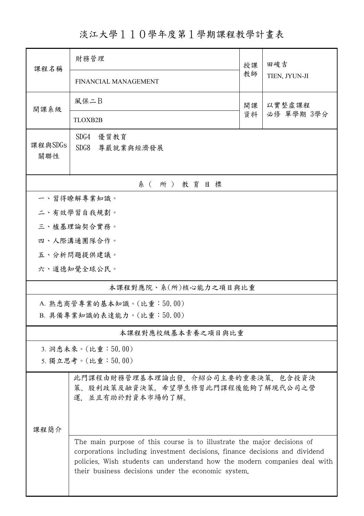淡江大學110學年度第1學期課程教學計畫表

| 課程名稱                      | 財務管理                                                                                                                                                                                                                                                                                       | 授課           | 田峻吉           |  |  |  |
|---------------------------|--------------------------------------------------------------------------------------------------------------------------------------------------------------------------------------------------------------------------------------------------------------------------------------------|--------------|---------------|--|--|--|
|                           | <b>FINANCIAL MANAGEMENT</b>                                                                                                                                                                                                                                                                | 教師           | TIEN, JYUN-JI |  |  |  |
| 開課系級                      | 風保二B                                                                                                                                                                                                                                                                                       | 以實整虛課程<br>開課 |               |  |  |  |
|                           | TLOXB2B                                                                                                                                                                                                                                                                                    | 資料           | 必修 單學期 3學分    |  |  |  |
| 課程與SDGs<br>關聯性            | SDG4<br>優質教育<br>SDG8<br>尊嚴就業與經濟發展                                                                                                                                                                                                                                                          |              |               |  |  |  |
| 系(所)教育目標                  |                                                                                                                                                                                                                                                                                            |              |               |  |  |  |
|                           | 一、習得瞭解專業知識。                                                                                                                                                                                                                                                                                |              |               |  |  |  |
|                           | 二、有效學習自我規劃。                                                                                                                                                                                                                                                                                |              |               |  |  |  |
|                           | 三、植基理論契合實務。                                                                                                                                                                                                                                                                                |              |               |  |  |  |
|                           | 四、人際溝通團隊合作。                                                                                                                                                                                                                                                                                |              |               |  |  |  |
|                           | 五、分析問題提供建議。                                                                                                                                                                                                                                                                                |              |               |  |  |  |
|                           | 六、道德知覺全球公民。                                                                                                                                                                                                                                                                                |              |               |  |  |  |
| 本課程對應院、系(所)核心能力之項目與比重     |                                                                                                                                                                                                                                                                                            |              |               |  |  |  |
|                           | A. 熟悉商管專業的基本知識。(比重:50.00)                                                                                                                                                                                                                                                                  |              |               |  |  |  |
| B. 具備專業知識的表達能力。(比重:50.00) |                                                                                                                                                                                                                                                                                            |              |               |  |  |  |
| 本課程對應校級基本素養之項目與比重         |                                                                                                                                                                                                                                                                                            |              |               |  |  |  |
|                           | 3. 洞悉未來。(比重:50.00)                                                                                                                                                                                                                                                                         |              |               |  |  |  |
|                           | 5. 獨立思考。(比重:50.00)                                                                                                                                                                                                                                                                         |              |               |  |  |  |
|                           | 此門課程由財務管理基本理論出發,介紹公司主要的重要決策,包含投資決<br>策、股利政策及融資決策。希望學生修習此門課程後能夠了解現代公司之營<br>運. 並且有助於對資本市場的了解。                                                                                                                                                                                                |              |               |  |  |  |
| 課程簡介                      |                                                                                                                                                                                                                                                                                            |              |               |  |  |  |
|                           | The main purpose of this course is to illustrate the major decisions of<br>corporations including investment decisions, finance decisions and dividend<br>policies. Wish students can understand how the modern companies deal with<br>their business decisions under the economic system. |              |               |  |  |  |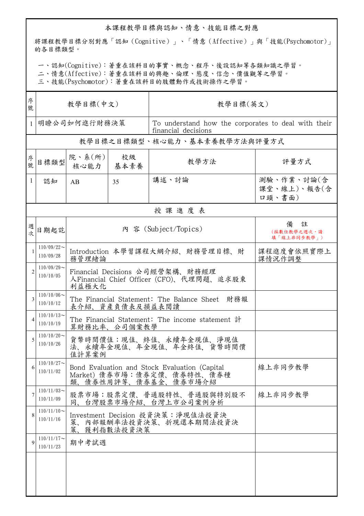## 本課程教學目標與認知、情意、技能目標之對應

將課程教學目標分別對應「認知(Cognitive)」、「情意(Affective)」與「技能(Psychomotor)」 的各目標類型。

一、認知(Cognitive):著重在該科目的事實、概念、程序、後設認知等各類知識之學習。

二、情意(Affective):著重在該科目的興趣、倫理、態度、信念、價值觀等之學習。

三、技能(Psychomotor):著重在該科目的肢體動作或技術操作之學習。

| 序<br>號         | 教學目標(中文)                      |                                                                                                                    |            | 教學目標(英文)                                                                   |                                      |  |
|----------------|-------------------------------|--------------------------------------------------------------------------------------------------------------------|------------|----------------------------------------------------------------------------|--------------------------------------|--|
| $\mathbf{1}$   | 明瞭公司如何進行財務決策                  |                                                                                                                    |            | To understand how the corporates to deal with their<br>financial decisions |                                      |  |
|                |                               |                                                                                                                    |            | 教學目標之目標類型、核心能力、基本素養教學方法與評量方式                                               |                                      |  |
| 序號             | 目標類型                          | 院、系(所)<br>核心能力                                                                                                     | 校級<br>基本素養 | 教學方法                                                                       | 評量方式                                 |  |
| $\mathbf{1}$   | 認知                            | AB                                                                                                                 | 35         | 講述、討論                                                                      | 測驗、作業、討論(含<br>課堂、線上)、報告(含<br>口頭、書面)  |  |
|                | 授課進度表                         |                                                                                                                    |            |                                                                            |                                      |  |
| 週<br>文         | 日期起訖                          | 內 容 (Subject/Topics)                                                                                               |            |                                                                            | 備<br>註<br>(採數位教學之週次,請<br>填「線上非同步教學」) |  |
|                | $110/09/22$ ~<br>110/09/28    | 課程進度會依照實際上<br>Introduction 本學習課程大綱介紹、財務管理目標、財<br>務管理緒論<br>課情況作調整                                                   |            |                                                                            |                                      |  |
| $\mathfrak{D}$ | $110/09/29$ ~<br>110/10/05    | Financial Decisions 公司經營架構、財務經理<br>人Financial Chief Officer (CFO)、代理問題、追求股東<br>利益極大化                               |            |                                                                            |                                      |  |
|                | $110/10/06 \sim$<br>110/10/12 | The Financial Statement: The Balance Sheet 財務報<br>表介紹、資產負債表及損益表閱讀                                                  |            |                                                                            |                                      |  |
|                | $110/10/13$ ~<br>110/10/19    | The Financial Statement: The income statement 計<br>算財務比率、公司個案教學                                                    |            |                                                                            |                                      |  |
|                | $110/10/20$ ~<br>110/10/26    | 貨幣時間價值:現值、終值、永續年金現值、淨現值<br>法、永續年金現值、年金現值、年金終值,貨幣時間價<br>值計算案例                                                       |            |                                                                            |                                      |  |
| 6              | $110/10/27$ ~<br>110/11/02    | 線上非同步教學<br>Bond Evaluation and Stock Evaluation (Capital<br>Market) 債券市場:債券定價、債券特性、債券種<br>類、<br>债券性用評等、債券基金、債券市場介紹 |            |                                                                            |                                      |  |
|                | $110/11/03$ ~<br>110/11/09    | 股票市場:股票定價、普通股特性、普通股與特別股不<br>線上非同步教學<br>台灣股票市場介紹、台灣上市公司案例分析<br>同、                                                   |            |                                                                            |                                      |  |
| 8              | $110/11/10$ ~<br>110/11/16    | Investment Decision 投資決策:淨現值法投資決<br>内部報酬率法投資決策、折現還本期間法投資決<br>策、<br>策、<br>獲利指數法投資決策                                 |            |                                                                            |                                      |  |
| $\mathbf Q$    | $110/11/17$ ~<br>110/11/23    | 期中考試週                                                                                                              |            |                                                                            |                                      |  |
|                |                               |                                                                                                                    |            |                                                                            |                                      |  |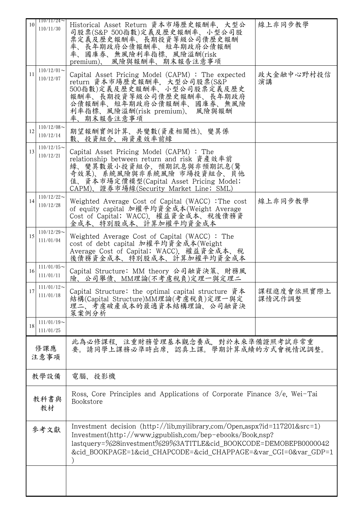| 10         | $110/11/24 \sim$<br>110/11/30 | Historical Asset Return 資本市場歷史報酬率,大型公<br>司股票(S&P 500指數)定義及歷史報酬率、小型公司股<br>票定義及歷史報酬率、長期投資等級公司債歷史報酬<br>率、長年期政府公債報酬率、短年期政府公債報酬<br>率、國庫券、無風險利率指標、風險溢酬(risk<br>風險與報酬率、期末報告注意事項<br>premium).                                                                                            | 線上非同步教學              |  |  |  |
|------------|-------------------------------|----------------------------------------------------------------------------------------------------------------------------------------------------------------------------------------------------------------------------------------------------------------------------------|----------------------|--|--|--|
| 11         | $110/12/01$ ~<br>110/12/07    | Capital Asset Pricing Model (CAPM): The expected<br>return 資本市場歷史報酬率, 大型公司股票(S&P<br>500指數)定義及歷史報酬率、小型公司股票定義及歷史<br>報酬率、長期投資等級公司債歷史報酬率、長年期政府<br>公債報酬率、短年期政府公債報酬率、國庫券、無風險<br>利率指標、風險溢酬(risk premium)、 風險與報酬<br>率、期末報告注意事項                                                           | 政大金融中心野村投信<br>演講     |  |  |  |
| 12         | $110/12/08$ ~<br>110/12/14    | 期望報酬實例計算、共變數(資產相關性)、變異係<br>數、投資組合、兩資產效率前緣                                                                                                                                                                                                                                        |                      |  |  |  |
| 13         | $110/12/15$ ~<br>110/12/21    | Capital Asset Pricing Model (CAPM): The<br>relationship between return and risk 資產效率前<br>緣、變異數最小投資組合、預期訊息與非預期訊息(驚<br>奇效果)、系統風險與非系統風險 市場投資組合、貝他<br>值、資本市場定價模型(Capital Asset Pricing Model;<br>CAPM)、證券市場線(Security Market Line; SML)                                              |                      |  |  |  |
| 14         | $110/12/22$ ~<br>110/12/28    | Weighted Average Cost of Capital (WACC) : The cost<br>of equity capital 加權平均資金成本(Weight Average<br>Cost of Capital; WACC), 權益資金成本、稅後債務資<br>金成本、特別股成本、計算加權平均資金成本                                                                                                                  | 線上非同步教學              |  |  |  |
| 15         | $110/12/29$ ~<br>111/01/04    | Weighted Average Cost of Capital (WACC): The<br>cost of debt capital 加權平均資金成本(Weight<br>Average Cost of Capital; WACC). 權益資金成本、稅<br>後債務資金成本、特別股成本、計算加權平均資金成本                                                                                                                     |                      |  |  |  |
| 16         | $111/01/05$ ~<br>111/01/11    | Capital Structure: MM theory 公司融資決策、財務風<br>險、公司舉債、MM理論(不考慮稅負)定理一與定理二                                                                                                                                                                                                             |                      |  |  |  |
| 17         | $111/01/12$ ~<br>111/01/18    | Capital Structure: the optimal capital structure 資本<br>結構(Capital Structure)MM理論(考慮稅負)定理一與定<br>理二、考慮破產成本的最適資本結構理論、公司融資決<br>策案例分析                                                                                                                                                 | 課程進度會依照實際上<br>課情況作調整 |  |  |  |
| 18         | $111/01/19$ ~<br>111/01/25    |                                                                                                                                                                                                                                                                                  |                      |  |  |  |
|            | 修課應<br>注意事項                   | 此為必修課程,注重財務管理基本觀念養成,對於未來準備證照考試非常重<br>要。請同學上課務必準時出席,認真上課。學期計算成績的方式會視情況調整。                                                                                                                                                                                                         |                      |  |  |  |
| 教學設備       |                               | 電腦、投影機                                                                                                                                                                                                                                                                           |                      |  |  |  |
| 教科書與<br>教材 |                               | Ross, Core Principles and Applications of Corporate Finance 3/e, Wei-Tai<br>Bookstore                                                                                                                                                                                            |                      |  |  |  |
| 參考文獻       |                               | Investment decision $(http://libmyilibrary.com/Open, aspx?id=117201&src=1)$<br>$Investment (http://www.igpublish.com/bep-ebooks/Book.nsp?$<br>lastquery=%28investment%29%3ATITLE&cid_BOOKCODE=DEMOBEPB0000042<br>&cid BOOKPAGE=1&cid CHAPCODE=&cid CHAPPAGE=&var CGI=0&var GDP=1 |                      |  |  |  |
|            |                               |                                                                                                                                                                                                                                                                                  |                      |  |  |  |